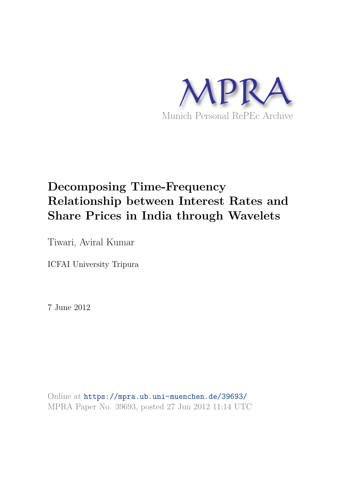

# **Decomposing Time-Frequency Relationship between Interest Rates and Share Prices in India through Wavelets**

Tiwari, Aviral Kumar

ICFAI University Tripura

7 June 2012

Online at https://mpra.ub.uni-muenchen.de/39693/ MPRA Paper No. 39693, posted 27 Jun 2012 11:14 UTC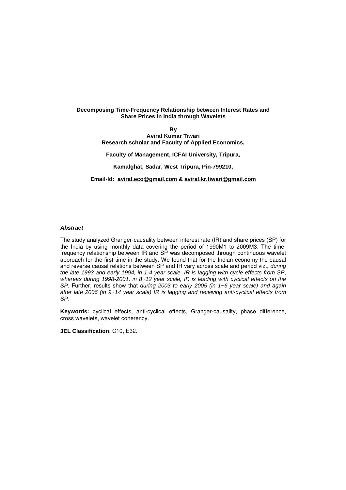# **Decomposing Time-Frequency Relationship between Interest Rates and Share Prices in India through Wavelets**

**By Aviral Kumar Tiwari** 

**Research scholar and Faculty of Applied Economics,** 

**Faculty of Management, ICFAI University, Tripura,** 

**Kamalghat, Sadar, West Tripura, Pin-799210,** 

**Email-Id: aviral.eco@gmail.com & aviral.kr.tiwari@gmail.com**

# **Abstract**

The study analyzed Granger-causality between interest rate (IR) and share prices (SP) for the India by using monthly data covering the period of 1990M1 to 2009M3. The timefrequency relationship between IR and SP was decomposed through continuous wavelet approach for the first time in the study. We found that for the Indian economy the causal and reverse causal relations between SP and IR vary across scale and period viz., during the late 1993 and early 1994, in 1-4 year scale, IR is lagging with cycle effects from SP, whereas during 1998-2001, in  $8-12$  year scale, IR is leading with cyclical effects on the SP. Further, results show that during 2003 to early 2005 (in 1~6 year scale) and again after late 2006 (in 9~14 year scale) IR is lagging and receiving anti-cyclical effects from SP.

**Keywords:** cyclical effects, anti-cyclical effects, Granger-causality, phase difference, cross wavelets, wavelet coherency.

**JEL Classification**: C10, E32.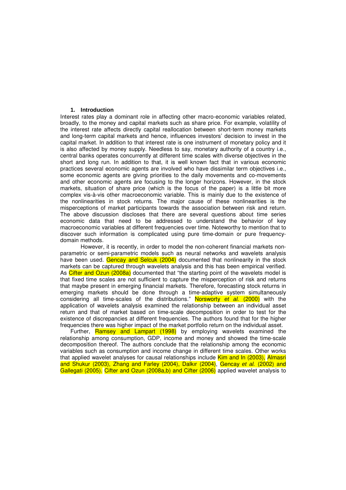#### **1. Introduction**

Interest rates play a dominant role in affecting other macro-economic variables related, broadly, to the money and capital markets such as share price. For example, volatility of the interest rate affects directly capital reallocation between short-term money markets and long-term capital markets and hence, influences investors' decision to invest in the capital market. In addition to that interest rate is one instrument of monetary policy and it is also affected by money supply. Needless to say, monetary authority of a country i.e., central banks operates concurrently at different time scales with diverse objectives in the short and long run. In addition to that, it is well known fact that in various economic practices several economic agents are involved who have dissimilar term objectives i.e., some economic agents are giving priorities to the daily movements and co-movements and other economic agents are focusing to the longer horizons. However, in the stock markets, situation of share price (which is the focus of the paper) is a little bit more complex vis-à-vis other macroeconomic variable. This is mainly due to the existence of the nonlinearities in stock returns. The major cause of these nonlinearities is the misperceptions of market participants towards the association between risk and return. The above discussion discloses that there are several questions about time series economic data that need to be addressed to understand the behavior of key macroeconomic variables at different frequencies over time. Noteworthy to mention that to discover such information is complicated using pure time-domain or pure frequencydomain methods.

However, it is recently, in order to model the non-coherent financial markets nonparametric or semi-parametric models such as neural networks and wavelets analysis have been used. Gencay and Selcuk (2004) documented that nonlinearity in the stock markets can be captured through wavelets analysis and this has been empirical verified. As Cifter and Ozun (2008a) documented that "the starting point of the wavelets model is that fixed time scales are not sufficient to capture the misperception of risk and returns that maybe present in emerging financial markets. Therefore, forecasting stock returns in emerging markets should be done through a time-adaptive system simultaneously considering all time-scales of the distributions." Norsworty et al. (2000) with the application of wavelets analysis examined the relationship between an individual asset return and that of market based on time-scale decomposition in order to test for the existence of discrepancies at different frequencies. The authors found that for the higher frequencies there was higher impact of the market portfolio return on the individual asset.

Further, Ramsey and Lampart (1998) by employing wavelets examined the relationship among consumption, GDP, income and money and showed the time-scale decomposition thereof. The authors conclude that the relationship among the economic variables such as consumption and income change in different time scales. Other works that applied wavelet analyses for causal relationships include Kim and In (2003), Almasri and Shukur (2003), Zhang and Farley (2004), Dalkır (2004), Gencay et al. (2002) and Gallegati (2005). Cifter and Ozun (2008a,b) and Cifter (2006) applied wavelet analysis to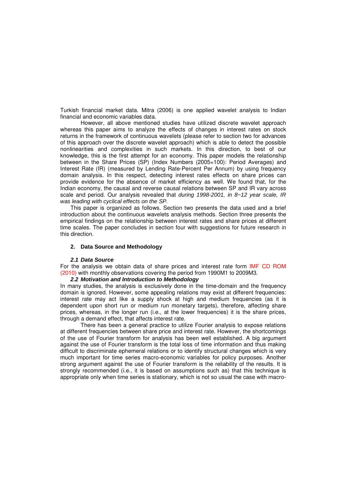Turkish financial market data. Mitra (2006) is one applied wavelet analysis to Indian financial and economic variables data.

However, all above mentioned studies have utilized discrete wavelet approach whereas this paper aims to analyze the effects of changes in interest rates on stock returns in the framework of continuous wavelets (please refer to section two for advances of this approach over the discrete wavelet approach) which is able to detect the possible nonlinearities and complexities in such markets. In this direction, to best of our knowledge, this is the first attempt for an economy. This paper models the relationship between in the Share Prices (SP) (Index Numbers (2005=100): Period Averages) and Interest Rate (IR) (measured by Lending Rate-Percent Per Annum) by using frequency domain analysis. In this respect, detecting interest rates effects on share prices can provide evidence for the absence of market efficiency as well. We found that, for the Indian economy, the causal and reverse causal relations between SP and IR vary across scale and period. Our analysis revealed that during 1998-2001, in 8~12 year scale, IR was leading with cyclical effects on the SP.

This paper is organized as follows. Section two presents the data used and a brief introduction about the continuous wavelets analysis methods. Section three presents the empirical findings on the relationship between interest rates and share prices at different time scales. The paper concludes in section four with suggestions for future research in this direction.

## **2. Data Source and Methodology**

#### **2.1 Data Source**

For the analysis we obtain data of share prices and interest rate form IMF CD ROM (2010) with monthly observations covering the period from 1990M1 to 2009M3.

# **2.2 Motivation and Introduction to Methodology**

In many studies, the analysis is exclusively done in the time-domain and the frequency domain is ignored. However, some appealing relations may exist at different frequencies: interest rate may act like a supply shock at high and medium frequencies (as it is dependent upon short run or medium run monetary targets), therefore, affecting share prices, whereas, in the longer run (i.e., at the lower frequencies) it is the share prices, through a demand effect, that affects interest rate.

There has been a general practice to utilize Fourier analysis to expose relations at different frequencies between share price and interest rate. However, the shortcomings of the use of Fourier transform for analysis has been well established. A big argument against the use of Fourier transform is the total loss of time information and thus making difficult to discriminate ephemeral relations or to identify structural changes which is very much important for time series macro-economic variables for policy purposes. Another strong argument against the use of Fourier transform is the reliability of the results. It is strongly recommended (i.e., it is based on assumptions such as) that this technique is appropriate only when time series is stationary, which is not so usual the case with macro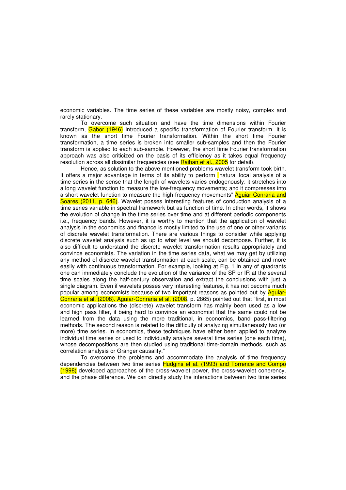economic variables. The time series of these variables are mostly noisy, complex and rarely stationary.

To overcome such situation and have the time dimensions within Fourier transform, Gabor (1946) introduced a specific transformation of Fourier transform. It is known as the short time Fourier transformation. Within the short time Fourier transformation, a time series is broken into smaller sub-samples and then the Fourier transform is applied to each sub-sample. However, the short time Fourier transformation approach was also criticized on the basis of its efficiency as it takes equal frequency resolution across all dissimilar frequencies (see Raihan et al., 2005 for detail).

Hence, as solution to the above mentioned problems wavelet transform took birth. It offers a major advantage in terms of its ability to perform "natural local analysis of a time-series in the sense that the length of wavelets varies endogenously: it stretches into a long wavelet function to measure the low-frequency movements; and it compresses into a short wavelet function to measure the high-frequency movements" **Aguiar-Conraria and** Soares (2011, p. 646). Wavelet posses interesting features of conduction analysis of a time series variable in spectral framework but as function of time. In other words, it shows the evolution of change in the time series over time and at different periodic components i.e., frequency bands. However, it is worthy to mention that the application of wavelet analysis in the economics and finance is mostly limited to the use of one or other variants of discrete wavelet transformation. There are various things to consider while applying discrete wavelet analysis such as up to what level we should decompose. Further, it is also difficult to understand the discrete wavelet transformation results appropriately and convince economists. The variation in the time series data, what we may get by utilizing any method of discrete wavelet transformation at each scale, can be obtained and more easily with continuous transformation. For example, looking at Fig. 1 in any of quadrants one can immediately conclude the evolution of the variance of the SP or IR at the several time scales along the half-century observation and extract the conclusions with just a single diagram. Even if wavelets posses very interesting features, it has not become much popular among economists because of two important reasons as pointed out by Aguiar-Conraria et al. (2008). Aguiar-Conraria et al. (2008, p. 2865) pointed out that "first, in most economic applications the (discrete) wavelet transform has mainly been used as a low and high pass filter, it being hard to convince an economist that the same could not be learned from the data using the more traditional, in economics, band pass-filtering methods. The second reason is related to the difficulty of analyzing simultaneously two (or more) time series. In economics, these techniques have either been applied to analyze individual time series or used to individually analyze several time series (one each time), whose decompositions are then studied using traditional time-domain methods, such as correlation analysis or Granger causality."

To overcome the problems and accommodate the analysis of time frequency dependencies between two time series Hudgins et al. (1993) and Torrence and Compo (1998) developed approaches of the cross-wavelet power, the cross-wavelet coherency, and the phase difference. We can directly study the interactions between two time series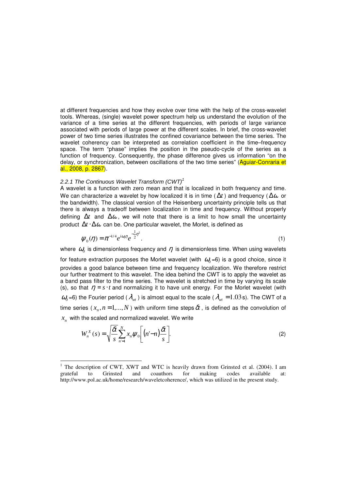at different frequencies and how they evolve over time with the help of the cross-wavelet tools. Whereas, (single) wavelet power spectrum help us understand the evolution of the variance of a time series at the different frequencies, with periods of large variance associated with periods of large power at the different scales. In brief, the cross-wavelet power of two time series illustrates the confined covariance between the time series. The wavelet coherency can be interpreted as correlation coefficient in the time–frequency space. The term "phase" implies the position in the pseudo-cycle of the series as a function of frequency. Consequently, the phase difference gives us information "on the delay, or synchronization, between oscillations of the two time series" (Aquiar-Conraria et al., 2008, p. 2867).

## 2.2.1 The Continuous Wavelet Transform  $(CWT)^1$

 $\overline{a}$ 

A wavelet is a function with zero mean and that is localized in both frequency and time. We can characterize a wavelet by how localized it is in time ( $\Delta t$ ) and frequency ( $\Delta \omega$  or the bandwidth). The classical version of the Heisenberg uncertainty principle tells us that there is always a tradeoff between localization in time and frequency. Without properly defining  $\Delta t$  and  $\Delta \omega$ , we will note that there is a limit to how small the uncertainty product ∆*t* ⋅∆ω can be. One particular wavelet, the Morlet, is defined as

$$
\psi_0(\eta) = \pi^{-1/4} e^{i\omega_0 \eta} e^{-\frac{1}{2}\eta^2}.
$$
 (1)

where  $\,\varOmega_{\!_0}\,$  is dimensionless frequency and  $\,\eta\,$  is dimensionless time. When using wavelets

for feature extraction purposes the Morlet wavelet (with  $\,\varpi_0^{}$ =6) is a good choice, since it provides a good balance between time and frequency localization. We therefore restrict our further treatment to this wavelet. The idea behind the CWT is to apply the wavelet as a band pass filter to the time series. The wavelet is stretched in time by varying its scale (s), so that  $\eta = s \cdot t$  and normalizing it to have unit energy. For the Morlet wavelet (with  $\omega_0$ =6) the Fourier period (  $\lambda_{wt}$  ) is almost equal to the scale (  $\lambda_{wt}$  = 1.03s). The CWT of a time series ( $x_n, n = 1,...,N$  ) with uniform time steps  $\delta\!t$  , is defined as the convolution of  $x_n$  with the scaled and normalized wavelet. We write

$$
W_n^X(s) = \sqrt{\frac{\delta t}{s}} \sum_{n=1}^N x_n \psi_0 \left[ (n'-n) \frac{\delta t}{s} \right].
$$
 (2)

<sup>&</sup>lt;sup>1</sup> The description of CWT, XWT and WTC is heavily drawn from Grinsted et al. (2004). I am grateful to Grinsted and coauthors for making codes available at: http://www.pol.ac.uk/home/research/waveletcoherence/, which was utilized in the present study.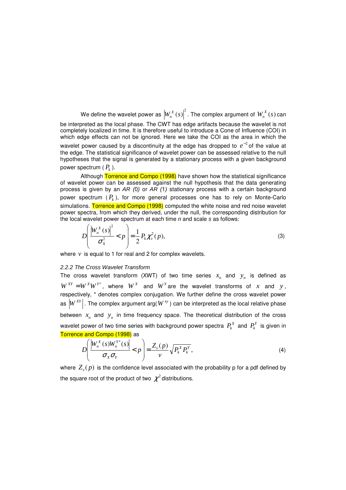We define the wavelet power as  $\left|W_n^X(s)\right|^2$  $\left\| \sum_{n}^{X}(s) \right\|^2$  . The complex argument of  $W_{n}^{X}(s)$  $\binom{A}{n}(S)$  can be interpreted as the local phase. The CWT has edge artifacts because the wavelet is not completely localized in time. It is therefore useful to introduce a Cone of Influence (COI) in which edge effects can not be ignored. Here we take the COI as the area in which the wavelet power caused by a discontinuity at the edge has dropped to  $e^{-2}$  of the value at the edge. The statistical significance of wavelet power can be assessed relative to the null hypotheses that the signal is generated by a stationary process with a given background power spectrum ( *P<sup>k</sup>* ).

Although Torrence and Compo (1998) have shown how the statistical significance of wavelet power can be assessed against the null hypothesis that the data generating process is given by an AR  $(0)$  or AR  $(1)$  stationary process with a certain background power spectrum ( *P<sup>k</sup>* ), for more general processes one has to rely on Monte-Carlo simulations. Torrence and Compo (1998) computed the white noise and red noise wavelet power spectra, from which they derived, under the null, the corresponding distribution for the local wavelet power spectrum at each time  $n$  and scale  $s$  as follows:

$$
D\left(\frac{\left|W_n^X(s)\right|^2}{\sigma_X^2} < p\right) = \frac{1}{2} P_k \chi_v^2(p),\tag{3}
$$

where  $\nu$  is equal to 1 for real and 2 for complex wavelets.

# 2.2.2 The Cross Wavelet Transform

The cross wavelet transform (XWT) of two time series  $x_n$  and  $y_n$  is defined as  $W^{XY} = W^{X}W^{Y*}$ , where  $W^{X}$  and  $W^{Y}$  are the wavelet transforms of *x* and *y*, respectively, \* denotes complex conjugation. We further define the cross wavelet power as  $\left|W^{XY}\right|$ . The complex argument arg( $W^{xy}$ ) can be interpreted as the local relative phase between  $x_n$  and  $y_n$  in time frequency space. The theoretical distribution of the cross wavelet power of two time series with background power spectra  $\mathit{P}_{k}^{\mathit{X}}$  and  $\mathit{P}_{k}^{\mathit{Y}}$  is given in Torrence and Compo (1998) as

$$
D\left(\frac{\left|W_n^X(s)W_n^{Y^*}(s)\right|}{\sigma_X\sigma_Y} < p\right) = \frac{Z_\nu(p)}{\nu} \sqrt{P_k^X P_k^Y},\tag{4}
$$

where  $\, Z_{_{\nu}}(p)$  is the confidence level associated with the probability p for a pdf defined by the square root of the product of two  $\chi^2$  distributions.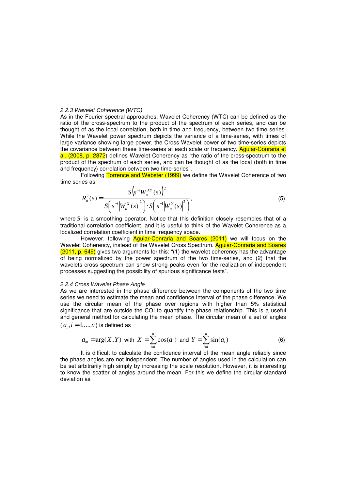#### 2.2.3 Wavelet Coherence (WTC)

As in the Fourier spectral approaches, Wavelet Coherency (WTC) can be defined as the ratio of the cross-spectrum to the product of the spectrum of each series, and can be thought of as the local correlation, both in time and frequency, between two time series. While the Wavelet power spectrum depicts the variance of a time-series, with times of large variance showing large power, the Cross Wavelet power of two time-series depicts the covariance between these time-series at each scale or frequency. Aguiar-Conraria et al. (2008, p. 2872) defines Wavelet Coherency as "the ratio of the cross-spectrum to the product of the spectrum of each series, and can be thought of as the local (both in time and frequency) correlation between two time-series".

Following Torrence and Webster (1999) we define the Wavelet Coherence of two time series as

$$
R_n^2(s) = \frac{\left| S \left( s^{-1} W_n^{XY}(s) \right)^2 \right|}{S \left( s^{-1} \left| W_n^X(s) \right|^2 \right) \cdot S \left( s^{-1} \left| W_n^Y(s) \right|^2 \right)},
$$
\n(5)

where *S* is a smoothing operator. Notice that this definition closely resembles that of a traditional correlation coefficient, and it is useful to think of the Wavelet Coherence as a localized correlation coefficient in time frequency space.

However, following Aguiar-Conraria and Soares (2011) we will focus on the Wavelet Coherency, instead of the Wavelet Cross Spectrum. Aguiar-Conraria and Soares (2011, p. 649) gives two arguments for this: "(1) the wavelet coherency has the advantage of being normalized by the power spectrum of the two time-series, and (2) that the wavelets cross spectrum can show strong peaks even for the realization of independent processes suggesting the possibility of spurious significance tests".

#### 2.2.4 Cross Wavelet Phase Angle

As we are interested in the phase difference between the components of the two time series we need to estimate the mean and confidence interval of the phase difference. We use the circular mean of the phase over regions with higher than 5% statistical significance that are outside the COI to quantify the phase relationship. This is a useful and general method for calculating the mean phase. The circular mean of a set of angles  $(a_i, i = 1, \ldots, n)$  is defined as

$$
a_m = \arg(X, Y)
$$
 with  $X = \sum_{i=1}^{n} \cos(a_i)$  and  $Y = \sum_{i=1}^{n} \sin(a_i)$  (6)

It is difficult to calculate the confidence interval of the mean angle reliably since the phase angles are not independent. The number of angles used in the calculation can be set arbitrarily high simply by increasing the scale resolution. However, it is interesting to know the scatter of angles around the mean. For this we define the circular standard deviation as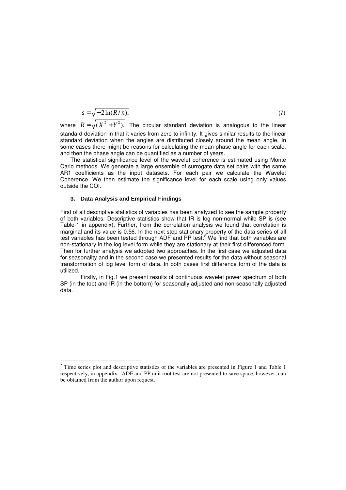$$
s = \sqrt{-2\ln(R/n)},\tag{7}
$$

where  $R = \sqrt{ (X^2 + Y^2) }$ . The circular standard deviation is analogous to the linear standard deviation in that it varies from zero to infinity. It gives similar results to the linear standard deviation when the angles are distributed closely around the mean angle. In some cases there might be reasons for calculating the mean phase angle for each scale, and then the phase angle can be quantified as a number of years.

The statistical significance level of the wavelet coherence is estimated using Monte Carlo methods. We generate a large ensemble of surrogate data set pairs with the same AR1 coefficients as the input datasets. For each pair we calculate the Wavelet Coherence. We then estimate the significance level for each scale using only values outside the COI.

## **3. Data Analysis and Empirical Findings**

 $\overline{a}$ 

First of all descriptive statistics of variables has been analyzed to see the sample property of both variables. Descriptive statistics show that IR is log non-normal while SP is (see Table-1 in appendix). Further, from the correlation analysis we found that correlation is marginal and its value is 0.56. In the next step stationary property of the data series of all test variables has been tested through ADF and PP test.<sup>2</sup> We find that both variables are non-stationary in the log level form while they are stationary at their first differenced form. Then for further analysis we adopted two approaches. In the first case we adjusted data for seasonality and in the second case we presented results for the data without seasonal transformation of log level form of data. In both cases first difference form of the data is utilized.

Firstly, in Fig.1 we present results of continuous wavelet power spectrum of both SP (in the top) and IR (in the bottom) for seasonally adjusted and non-seasonally adjusted data.

 $2^{2}$  Time series plot and descriptive statistics of the variables are presented in Figure 1 and Table 1 respectively, in appendix. ADF and PP unit root test are not presented to save space, however, can be obtained from the author upon request.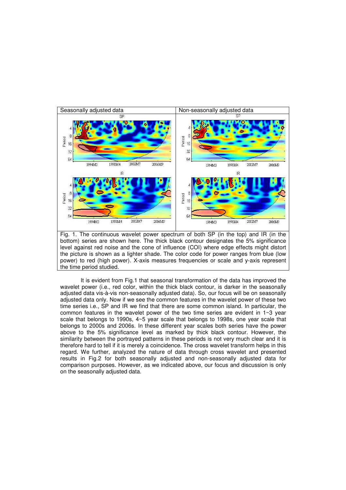

Fig. 1. The continuous wavelet power spectrum of both SP (in the top) and IR (in the bottom) series are shown here. The thick black contour designates the 5% significance level against red noise and the cone of influence (COI) where edge effects might distort the picture is shown as a lighter shade. The color code for power ranges from blue (low power) to red (high power). X-axis measures frequencies or scale and y-axis represent the time period studied.

It is evident from Fig.1 that seasonal transformation of the data has improved the wavelet power (i.e., red color, within the thick black contour, is darker in the seasonally adjusted data vis-à-vis non-seasonally adjusted data). So, our focus will be on seasonally adjusted data only. Now if we see the common features in the wavelet power of these two time series i.e., SP and IR we find that there are some common island. In particular, the common features in the wavelet power of the two time series are evident in  $1~3$  year scale that belongs to 1990s, 4~5 year scale that belongs to 1998s, one year scale that belongs to 2000s and 2006s. In these different year scales both series have the power above to the 5% significance level as marked by thick black contour. However, the similarity between the portrayed patterns in these periods is not very much clear and it is therefore hard to tell if it is merely a coincidence. The cross wavelet transform helps in this regard. We further, analyzed the nature of data through cross wavelet and presented results in Fig.2 for both seasonally adjusted and non-seasonally adjusted data for comparison purposes. However, as we indicated above, our focus and discussion is only on the seasonally adjusted data.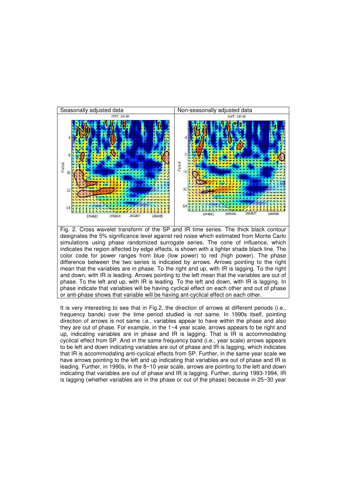



It is very interesting to see that in Fig.2, the direction of arrows at different periods (i.e., frequency bands) over the time period studied is not same. In 1990s itself, pointing direction of arrows is not same i.e., variables appear to have within the phase and also they are out of phase. For example, in the 1~4 year scale, arrows appears to be right and up, indicating variables are in phase and IR is lagging. That is IR is accommodating cyclical effect from SP. And in the same frequency band (i.e., year scale) arrows appears to be left and down indicating variables are out of phase and IR is lagging, which indicates that IR is accommodating anti-cyclical effects from SP. Further, in the same year scale we have arrows pointing to the left and up indicating that variables are out of phase and IR is leading. Further, in 1990s, in the 8~10 year scale, arrows are pointing to the left and down indicating that variables are out of phase and IR is lagging. Further, during 1993-1994, IR is lagging (whether variables are in the phase or out of the phase) because in 25~30 year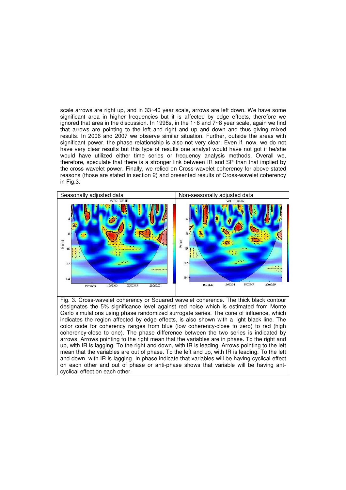scale arrows are right up, and in 33~40 year scale, arrows are left down. We have some significant area in higher frequencies but it is affected by edge effects, therefore we ignored that area in the discussion. In 1998s, in the 1~6 and 7~8 year scale, again we find that arrows are pointing to the left and right and up and down and thus giving mixed results. In 2006 and 2007 we observe similar situation. Further, outside the areas with significant power, the phase relationship is also not very clear. Even if, now, we do not have very clear results but this type of results one analyst would have not got if he/she would have utilized either time series or frequency analysis methods. Overall we, therefore, speculate that there is a stronger link between IR and SP than that implied by the cross wavelet power. Finally, we relied on Cross-wavelet coherency for above stated reasons (those are stated in section 2) and presented results of Cross-wavelet coherency in Fig.3.



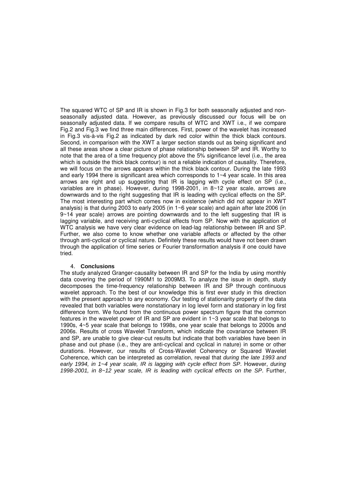The squared WTC of SP and IR is shown in Fig.3 for both seasonally adjusted and nonseasonally adjusted data. However, as previously discussed our focus will be on seasonally adjusted data. If we compare results of WTC and XWT i.e., if we compare Fig.2 and Fig.3 we find three main differences. First, power of the wavelet has increased in Fig.3 vis-à-vis Fig.2 as indicated by dark red color within the thick black contours. Second, in comparison with the XWT a larger section stands out as being significant and all these areas show a clear picture of phase relationship between SP and IR. Worthy to note that the area of a time frequency plot above the 5% significance level (i.e., the area which is outside the thick black contour) is not a reliable indication of causality. Therefore, we will focus on the arrows appears within the thick black contour. During the late 1993 and early 1994 there is significant area which corresponds to 1~4 year scale. In this area arrows are right and up suggesting that IR is lagging with cycle effect on SP (i.e., variables are in phase). However, during 1998-2001, in 8~12 year scale, arrows are downwards and to the right suggesting that IR is leading with cyclical effects on the SP. The most interesting part which comes now in existence (which did not appear in XWT analysis) is that during 2003 to early 2005 (in  $1 \sim 6$  year scale) and again after late 2006 (in  $9~14$  year scale) arrows are pointing downwards and to the left suggesting that IR is lagging variable, and receiving anti-cyclical effects from SP. Now with the application of WTC analysis we have very clear evidence on lead-lag relationship between IR and SP. Further, we also come to know whether one variable affects or affected by the other through anti-cyclical or cyclical nature. Definitely these results would have not been drawn through the application of time series or Fourier transformation analysis if one could have tried.

#### 4. **Conclusions**

The study analyzed Granger-causality between IR and SP for the India by using monthly data covering the period of 1990M1 to 2009M3. To analyze the issue in depth, study decomposes the time-frequency relationship between IR and SP through continuous wavelet approach. To the best of our knowledge this is first ever study in this direction with the present approach to any economy. Our testing of stationarity property of the data revealed that both variables were nonstationary in log level form and stationary in log first difference form. We found from the continuous power spectrum figure that the common features in the wavelet power of IR and SP are evident in 1~3 year scale that belongs to 1990s, 4~5 year scale that belongs to 1998s, one year scale that belongs to 2000s and 2006s. Results of cross Wavelet Transform, which indicate the covariance between IR and SP, are unable to give clear-cut results but indicate that both variables have been in phase and out phase (i.e., they are anti-cyclical and cyclical in nature) in some or other durations. However, our results of Cross-Wavelet Coherency or Squared Wavelet Coherence, which can be interpreted as correlation, reveal that during the late 1993 and early 1994, in 1~4 year scale, IR is lagging with cycle effect from SP. However, during 1998-2001, in 8~12 year scale, IR is leading with cyclical effects on the SP. Further,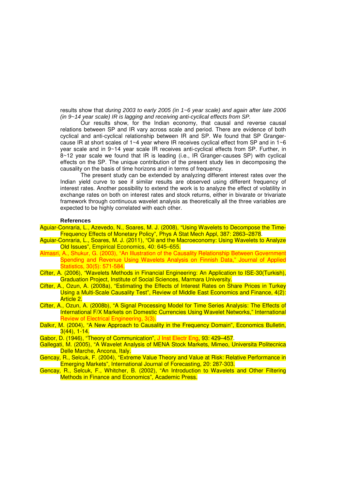results show that during 2003 to early 2005 (in 1~6 year scale) and again after late 2006 (in 9~14 year scale) IR is lagging and receiving anti-cyclical effects from SP.

Our results show, for the Indian economy, that causal and reverse causal relations between SP and IR vary across scale and period. There are evidence of both cyclical and anti-cyclical relationship between IR and SP. We found that SP Grangercause IR at short scales of 1~4 year where IR receives cyclical effect from SP and in  $1~6$ year scale and in 9~14 year scale IR receives anti-cyclical effects from SP. Further, in 8~12 year scale we found that IR is leading (i.e., IR Granger-causes SP) with cyclical effects on the SP. The unique contribution of the present study lies in decomposing the causality on the basis of time horizons and in terms of frequency.

The present study can be extended by analyzing different interest rates over the Indian yield curve to see if similar results are observed using different frequency of interest rates. Another possibility to extend the work is to analyze the effect of volatility in exchange rates on both on interest rates and stock returns, either in bivarate or trivariate framework through continuous wavelet analysis as theoretically all the three variables are expected to be highly correlated with each other.

#### **References**

- Aguiar-Conraria, L., Azevedo, N., Soares, M. J. (2008), "Using Wavelets to Decompose the Time-Frequency Effects of Monetary Policy", Phys A Stat Mech Appl, 387: 2863–2878.
- Aguiar-Conraria, L., Soares, M. J. (2011), "Oil and the Macroeconomy: Using Wavelets to Analyze Old Issues", Empirical Economics, 40: 645–655.
- Almasri, A., Shukur, G. (2003), "An Illustration of the Causality Relationship Between Government Spending and Revenue Using Wavelets Analysis on Finnish Data," Journal of Applied Statistics, 30(5): 571-584.
- Cifter, A. (2006), "Wavelets Methods in Financial Engineering: An Application to ISE-30(Turkish), Graduation Project, Institute of Social Sciences, Marmara University.
- Cifter, A., Ozun, A. (2008a), "Estimating the Effects of Interest Rates on Share Prices in Turkey Using a Multi-Scale Causality Test", Review of Middle East Economics and Finance, 4(2): Article 2.
- Cifter, A., Ozun, A. (2008b), "A Signal Processing Model for Time Series Analysis: The Effects of International F/X Markets on Domestic Currencies Using Wavelet Networks," International Review of Electrical Engineering, 3(3).
- Dalkır, M. (2004), "A New Approach to Causality in the Frequency Domain", Economics Bulletin, 3(44), 1-14.
- Gabor, D. (1946), "Theory of Communication", J Inst Electr Eng, 93: 429–457.
- Gallegati, M. (2005), "A Wavelet Analysis of MENA Stock Markets, Mimeo, Universita Politecnica Delle Marche, Ancona, Italy.
- Gencay, R., Selcuk, F. (2004), "Extreme Value Theory and Value at Risk: Relative Performance in Emerging Markets", International Journal of Forecasting, 20: 287-303.
- Gencay, R., Selcuk, F., Whitcher, B. (2002), "An Introduction to Wavelets and Other Filtering Methods in Finance and Economics", Academic Press.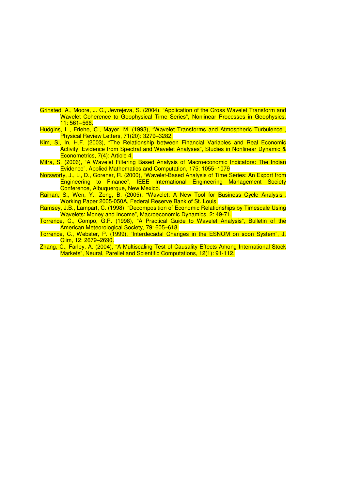- Grinsted, A., Moore, J. C., Jevrejeva, S. (2004), "Application of the Cross Wavelet Transform and Wavelet Coherence to Geophysical Time Series", Nonlinear Processes in Geophysics, 11: 561–566.
- Hudgins, L., Friehe, C., Mayer, M. (1993), "Wavelet Transforms and Atmospheric Turbulence", Physical Review Letters, 71(20): 3279–3282.
- Kim, S., In, H.F. (2003), "The Relationship between Financial Variables and Real Economic Activity: Evidence from Spectral and Wavelet Analyses", Studies in Nonlinear Dynamic & Econometrics, 7(4): Article 4.
- Mitra, S. (2006), "A Wavelet Filtering Based Analysis of Macroeconomic Indicators: The Indian Evidence", Applied Mathematics and Computation, 175: 1055–1079
- Norsworty, J., Li, D., Gorener, R. (2000), "Wavelet-Based Analysis of Time Series: An Export from Engineering to Finance", IEEE International Engineering Management Society Conference, Albuquerque, New Mexico.
- Raihan, S., Wen, Y., Zeng, B. (2005), "Wavelet: A New Tool for Business Cycle Analysis", Working Paper 2005-050A, Federal Reserve Bank of St. Louis.
- Ramsey, J.B., Lampart, C. (1998), "Decomposition of Economic Relationships by Timescale Using Wavelets: Money and Income", Macroeconomic Dynamics, 2: 49-71.
- Torrence, C., Compo, G.P. (1998), "A Practical Guide to Wavelet Analysis", Bulletin of the American Meteorological Society, 79: 605–618.
- Torrence, C., Webster, P. (1999), "Interdecadal Changes in the ESNOM on soon System", J. Clim, 12: 2679–2690.
- Zhang, C., Farley, A. (2004), "A Multiscaling Test of Causality Effects Among International Stock Markets", Neural, Parellel and Scientific Computations, 12(1): 91-112.